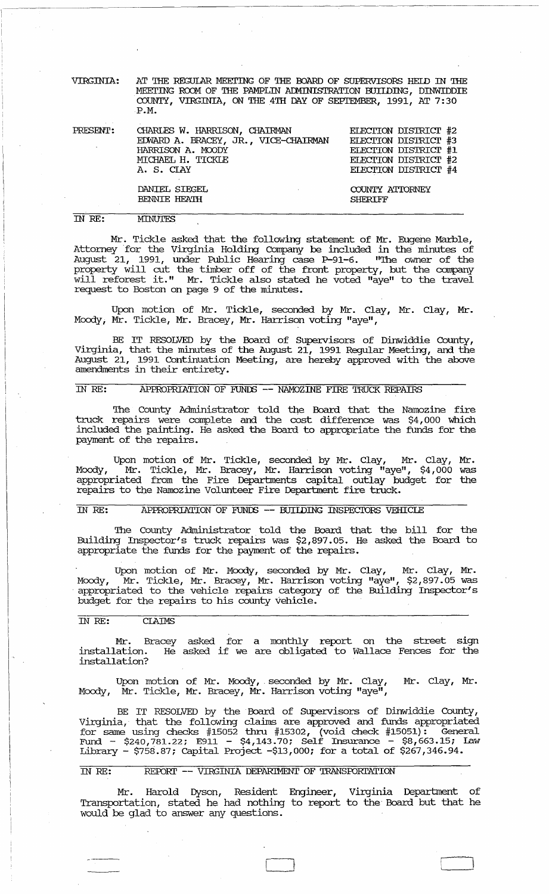VIRGINIA: AT THE REGUlAR MEEI'ING OF THE OOARD OF SUPERVISORS HEID IN THE MEETING ROOM OF THE PAMPLIN ADMINISTRATION BUIIDING, DINWIDDIE COUNTY, VIRGINIA, ON THE 4TH DAY OF SEPIEMBER, 1991, AT 7:30 P.M.

| PRESENT: | CHARIES W. HARRISON, CHAIRMAN        | ELECTION DISTRICT #2 |
|----------|--------------------------------------|----------------------|
|          | EDWARD A. BRACEY, JR., VICE-CHAIRMAN | ELECTION DISTRICT #3 |
|          | HARRISON A. MOODY                    | ELECTION DISTRICT #1 |
|          | MICHAEL H. TICKLE                    | ELECTION DISTRICT #2 |
|          | A. S. CIAY                           | ELECTION DISTRICT #4 |
|          | DANIEL SIEGEL                        | COUNTY ATTORNEY      |
|          | <b>BENNIE HEATH</b>                  | <b>SHERTFF</b>       |
|          |                                      |                      |

IN *RE:* 

**MINUTES** 

Mr. Tickle asked that the following statement of Mr. Eugene Marble, Attorney for the Virginia Holding Company be included in the minutes of August 21, 1991, under Public Hearing case P-91-6. "The owner of the property will cut the timber off of the front property, but the company will reforest it." Mr. Tickle also stated he voted "aye" to the travel request to Boston on page 9 of the minutes.

Upon motion of Mr. Tickle, seconded by Mr. Clay, Mr. Clay, Mr. Moody; Mr. Tickle, Mr. Bracey, Mr. Harrison voting "aye",

BE IT RESOLVED by the Board of SUpervisors of Dinwiddie County, Virginia, that the minutes of the August 21, 1991 Regular Meeting, and the August 21, 1991 Continuation Meeting, are hereby approved with the above amendments in their entirety.

## IN RE: APPROPRIATION OF FUNDS -- NAMOZINE FIRE TRUCK REPAIRS

The County Administrator told the Board that the Namozine fire truck repairs were complete and the cost difference was \$4,000 which included the painting. He asked the Board to appropriate the funds for the payment of the repairs.

Upon motion of Mr. Tickle, seconded by Mr. Clay, Mr. Clay, Mr. Moody, <sup>"</sup>Mr. Tickle, Mr. Bracey, Mr. Harrison voting "aye", \$4,000 was appropriated from the Fire Departments capital outlay budget for the repairs to the Namozine Volunteer Fire Department fire truck.

## IN RE: APPROPRIATION OF FUNDS -- BUILDING INSPECTORS VEHICLE

The County Administrator told the Board that the bill for the Building Inspector's truck repairs was \$2,897.05. He asked the Board to appropriate the funds for the payment of the repairs.

Upon motion of Mr. Moody, seconded by Mr. Clay, Mr. Clay, Mr. Moody, Mr. Tickle, Mr. Bracey, Mr. Harrison voting "aye", \$2,897.05 was appropriated to the vehicle repairs category of the Building Inspector's budget for the repairs to his county vehicle.

## IN *RE:* CIAIMS

Mr. Bracey asked for a monthly report on the street sign installation. He asked if we are obligated to Wallace Fences for the installation?

Upon motion of Mr. Moody, seconded by Mr. Clay, Mr. Clay, Mr. Moody, Mr. Tickle, Mr. Bracey, Mr. Harrison voting "aye",

BE IT RESOLVED by the Board of Supervisors of Dinwiddie County, Virginia, that the following claims are approved and funds appropriated for same using checks  $#15052$  thru  $#15302,$  (void check  $#15051$ ): General Fund. - \$240,781.22; E911 - \$4,143.70; Self Insurance - \$8,663.15; Law Library - \$758.87; capital Project -\$13,000; for a total of \$267,346.94.

## IN RE: REPORT -- VIRGINIA DEPARIMENT OF TRANSPORTATION

Mr. Harold Dyson, Resident Engineer, Virginia Department of Transportation, stated. he had nothing to report to the Board but that he would be glad to answer any questions.

 $\Box$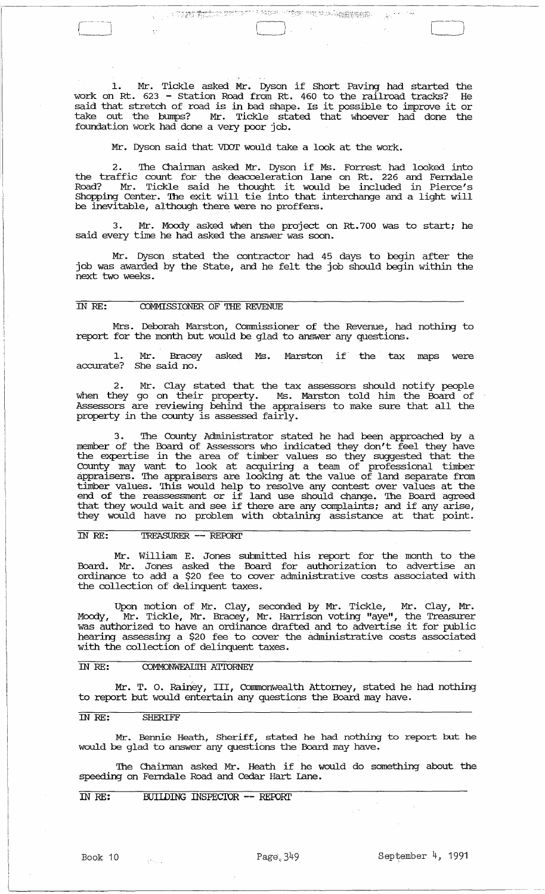1. Mr. Tickle asked Mr. Dyson if Short Paving had started the work on Rt. 623 - station Road from Rt. 460 to the railroad tracks? He work on Re. 025 - Station Road from Re. 400 to the failfoad clacks: he said that stretch of road is in bad shape. Is it possible to improve it or take out the bumps? Mr. Tickle stated that whoever had done the foundation work had done a very poor job.

Mr. Dyson said that VDOT would take a look at the work.

 $\sim 10^{10}$  M  $_\odot$ 

2. The Olainnan asked Mr. Dyson if Ms. Forrest had looked into the traffic count for the deacceleration lane on Rt. 226 and Ferndale Road? Mr. Tickle said he thought it would be included in Pierce's Shopping Center. The exit will tie into that interchange and a light will be inevitable, although there were no proffers.

Mr. Moody asked when the project on Rt.700 was to start; he said every time he had asked the answer was soon.

Mr. Dyson stated the contractor had 45 days to begin after the job was awarded by the State, and he felt the job should begin within the next two weeks.

## IN RE: COMMISSIONER OF THE REVENUE

 $\begin{bmatrix}$ '----J

Mrs. Deborah Marston, Commissioner of the Revenue, had nothing to report for the month but would be glad to answer any questions.

1. Mr. Bracey asked Ms. Marston if the tax maps were accurate? She said no.

2. Mr. Clay stated that the tax assessors should notify people when they go on their property. Ms. Marston told him the Board of Assessors are reviewing behind the appraisers to make sure that all the property in the county is assessed fairly.

3. The County Administrator stated he had been approached by a member of the Board of Assessors who indicated they don't feel they have the expertise in the area of timber values so they suggested that the County may want to look at acquiring a team of professional timber appraisers. The appraisers are looking at the value of land separate from timber values. This would help to resolve any contest over values at the end of the reassessment or if land use should change. The Board agreed that they would wait and see if there are any complaints; and if any arise, they would have no problem with obtaining assistance at that point.

IN *RE:* TREASURER -- REroRl'

Mr. William E. Jones submitted his report for the month to the Board. Mr. Jones asked the Board for authorization to advertise an ordinance to add a \$20 fee to cover administrative costs associated with the collection of delinquent taxes.

Upon motion of Mr. Clay, seconded by Mr. Tickle, Mr. Clay, Mr . Moody, Mr. Tickle, Mr. Bracey, Mr. Harrison voting "aye", the Treasurer was authorized to have an ordinance drafted and to advertise it for public hearing assessing a \$20 fee to cover the administrative costs associated with the collection of delinquent taxes.

#### IN RE: COMMONWEALTH ATTORNEY

Mr. T. O. Rainey, III, Commonwealth Attorney, stated he had nothing to report but would entertain any questions the Board may have.

## IN *RE:* SHERIFF

Mr. Bennie Heath, Sheriff, stated he had nothing to report but he would be glad to answer any questions the Board may have.

The Chairman asked Mr. Heath if he would do something about the speeding on Ferndale Road and Cedar Hart Lane.

IN RE: BUILDING INSPECTOR -- REPORT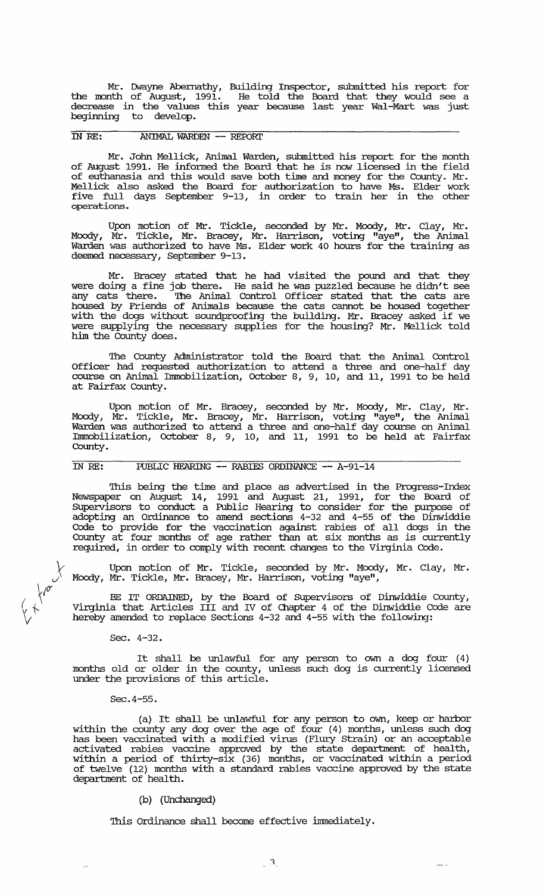Mr. Dwayne Abernathy, Building Inspector, submitted his report for the month of August, 1991. He told the Board that they would see a decrease in the values this year because last year Wal-Mart was just beginning to develop.

# IN *RE:* ANIMAL WARDEN -- REPORI'

Mr. John Mellick, Animal Warden, submitted his report for the month of August 1991. He infonned the Board that he is now licensed in the field of euthanasia and this would save both time and money for the County. Mr. Mellick also asked the Board for authorization to have Ms. Elder work five full days September 9-13, in order to train her in the other operations .

Upon motion of Mr. Tickle, seconded by Mr. Moody, Mr. Clay, Mr • Moody, Mr. Tickle, Mr. Bracey, Mr. Harrison, voting "aye", the Animal Warden was authorized to have Ms. Elder work 40 hours for the training as deemed necessary, September 9-13.

Mr. Bracey stated that he had visited the pound and that they were doing a fine job there. He said he was puzzled because he didn't see any cats there. The Animal Control Officer stated that the cats are housed by Friends of Animals because the cats cannot be housed together with the dogs without soundproofing the building. Mr. Bracey asked if we were supplying the necessary supplies for the housing? Mr. Mellick told him the County does.

The County Administrator told the Board that the Animal Control Officer had requested authorization to attend a three and one-half day course on Animal Immobilization, October 8, 9, 10, and 11, 1991 to be held at Fairfax County.

Upon motion of Mr. Bracey, seconded by Mr. Moody, Mr. Clay, Mr • Moody, Mr. Tickle, Mr. Bracey, Mr. Harrison, voting "aye", the Animal Warden was authorized to attend a three and one-half day course on Animal Immobilization, October 8, 9, 10, and 11, 1991 to be held at Fairfax County.

IN RE: PUBLIC HEARING -- RABIES ORDINANCE -- A-91-14

This being the time and place as advertised in the Progress-Index Newspaper on August 14, 1991 and August 21, 1991, for the Board of SUpervisors to conduct a Public Hearing to consider for the purpose of adopting an Ordinance to amend sections 4-32 and 4-55 of the Dinwiddie Code to provide for the vaccination against rabies of all dogs in the County at four months of age rather than at six months as is currently required, in order to comply with recent changes to the Virginia Code.

Upon motion of Mr. Tickle, seconded by Mr. Moody, Mr. Clay, Mr. Moody, Mr. Tickle, Mr. Bracey, Mr. Harrison, voting "aye",

BE IT ORDAINED, by the Board of SUpervisors of Dinwiddie County, Virginia that Articles III and IV of Chapter 4 of the Dinwiddie Code are hereby amended to replace sections 4-32 and 4-55 with the following:

Sec. 4-32.

v'y

 $\left(\begin{array}{c} \sqrt{6} \\ \sqrt{6} \end{array}\right)$ *rr* 

 $\sum$ 

It shall be unlawful for any person to own a dog four (4) months old or older in the county, unless such dog is currently licensed under the provisions of this article.

Sec. 4-55.

(a) It shall be unlawful for any person to own, keep or harbor within the county any dog over the age of four (4) months, unless such dog has been vaccinated with a modified virus (Flury Strain) or an acceptable activated rabies vaccine approved by the state depa.rtment of health, within a period of thirty-six (36) months, or vaccinated within a period of twelve (12) months with a standard rabies vaccine approved by the state department of health.

### (b) (Unchanged)

This Ordinance shall become effective immediately.

 $\overline{\phantom{0}}$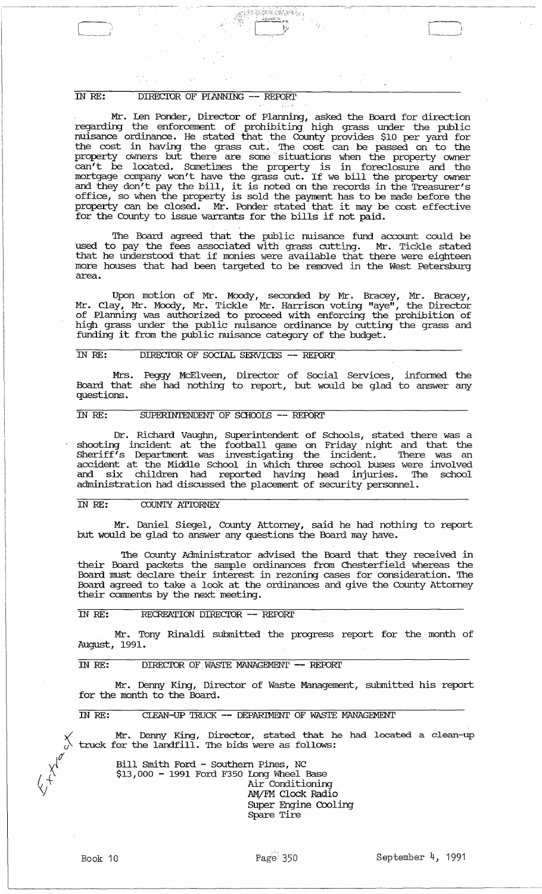#### $\overline{IN}$  RE: DIRECTOR OF PLANNING -- REPORT

Mr. Len Ponder, Director of Planning, asked the Board for direction regarding the enforcement of prohibiting high grass under the public nuisance ordinance. He stated that the County provides \$10 per yard for the cost in having the grass cut. The cost can be passed on to the property owners but there are some' situations when the property owner can't be located. sometimes the property is in foreclosure and the mortgage company won't have the grass cut. If we bill the property owner and they don't pay the bill, it is noted on the records in the Treasurer's office, so when the property is sold the payment has to be made before the property can be closed. Mr. Ponder stated that it may be cost effective for the County to issue warrants for the bills if not paid.

 $\frac{1}{2}$  $\mathcal{C} \subset \mathbb{R}^2$ - مم<del>ت پاڪ</del>

The Board agreed that the public nuisance fund account could be used to pay the fees associated with grass cutting. Mr. Tickle stated that he understood that if monies were available that there were eighteen more houses that had been targeted to be removed in the West Petersburg area.

Upon motion of Mr. Moody, seconded by Mr. Bracey, Mr. Bracey, Mr. Clay, Mr. Moody, Mr. Tickle Mr. Harrison voting "aye", the Director of Planning was authorized to proceed with enforcing the prohibition of high grass under the public nuisance ordinance by cutting the grass and funding it from the public nuisance category of the budget.

## IN RE: DIRECTOR OF SOCIAL SERVICES -- REPORT

Mrs. Peggy McElveen, Director of Social Services, informed the Board that she had nothing to report, but would be glad to answer any questions.

## IN RE: SUPERINTENDENT OF SCHOOLS -- REPORT

Dr. Richard Vaughn, SUperintendent of Schools, stated there was a shooting incident at the football game on Friday night and that the Sheriff's Department was investigating the incident. There was an accident at the Middle School in which three school buses were involved and six children had reported having head injuries. The school administration had discussed the placement of security personnel.

## IN RE: COUNTY ATTORNEY

Mr. Daniel Siegel, County Attorney, said he had nothing to report but would be glad to answer any questions the Board may have.

The County Administrator advised the Board that they received in their Board packets the sample ordinances from Chesterfield whereas the Board must declare their interest in rezoning cases for consideration. The Board agreed to take a look at the ordinances and give the County Attorney their comments by the next meeting.

## IN RE: RECREATION DIRECTOR -- REPORT

Mr. Tony Rinaldi submitted the progress report for the month of August, 1991.

### IN RE: DIRECTOR OF WASTE MANAGEMENT -- REPORT

Mr. Denny King, Director of Waste Management, submitted his report for the month to the Board.

IN RE: CLEAN-UP TRUCK -- DEPARIMENT OF WASTE MANAGEMENT

Mr. Denny King, Director, stated that he had located a clean-up truck for the landfill. The bids were as follows:

Bill Smith Ford - Southern Pines, NC \$13,000 - 1991 Ford F350 Long Wheel Base Air Conditioning AMjFM Clock Radio Super Engine Cooling Spare Tire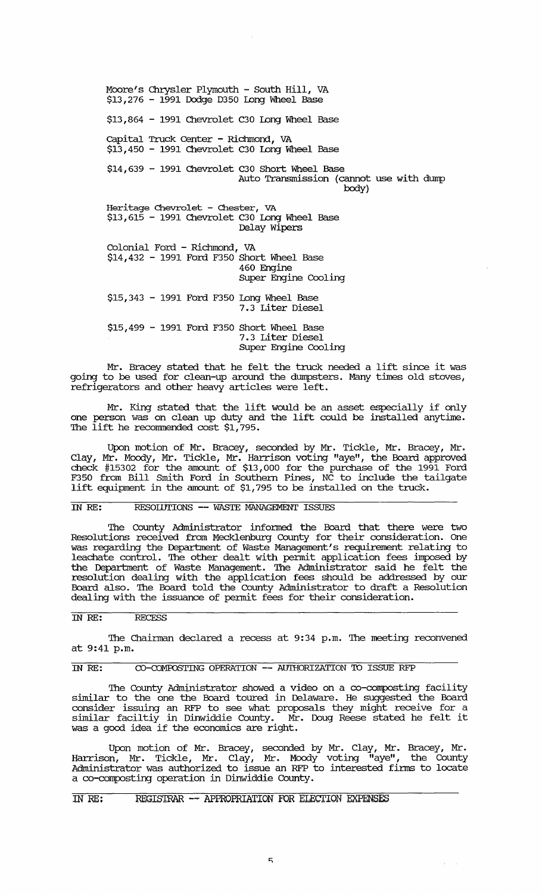Moore's Chrysler Plymouth - South Hill, VA  $$13,276 - 1991$  Dodge D350 Long Wheel Base \$13,864 - 1991 Chevrolet C30 Long Wheel Base capital Truck Center - Richmond, VA \$13,450 - 1991 Chevrolet C30 Long Wheel Base \$14,639 - 1991 Chevrolet C30 Short Wheel Base Auto Transmission (cannot use with dump body) Heritage Chevrolet - Chester, VA \$13,615 - 1991 Chevrolet C30 Long Wheel Base Delay wipers Colonial Ford - Richmond, VA \$14,432 - 1991 Ford F350 Short Wheel Base 460 Engine super Engine Cooling \$15,343 - 1991 Ford F350 Long Wheel Base 7.3 Liter Diesel \$15,499 - 1991 Ford F350 Short Wheel Base 7.3 Liter Diesel

Mr. Bracey stated that he felt the truck needed a lift since it was going to be used for clean-up around the dmnpsters. Many times old stoves, refrigerators and other heavy articles were left.

SUper Engine Cooling

Mr. King stated that the lift would be an asset especially if only one person was on clean up duty and the lift could be installed anytime. The lift he recommended cost \$1,795.

Upon motion of Mr. Bracey, seconded by Mr. Tickle, Mr. Bracey, Mr. Clay, Mr. Moody, Mr. Tickle, Mr. Harrison voting "aye", the Board approved check #15302 for the amount of \$13,000 for the purchase of the 1991 Ford F350 from Bill Smith Ford in Southern Pines, NC to include the tailgate lift equipment in the amount of \$1,795 to be installed on the truck.

#### IN RE: RESOILTIONS -- WASTE MANAGEMENT ISSUES

The County Administrator infonned the Board that there were two Resolutions received from Mecklenburg County for their consideration. One was regarding the Department of Waste Management's requirement relating to leachate control. The other dealt with pennit application fees imposed by the Deparbnent of Waste Management. The Administrator said he felt the resolution dealing with the application fees should be addressed by our Board also. The Board told the County Administrator to draft a Resolution dealing with the issuance of pennit fees for their consideration.

## IN RE: RECESS

The Chairman declared a recess at 9:34 p.m. The meeting reconvened at 9:41 p.m.

# IN RE: CO-COMPOSTING OPERATION -- AUTHORIZATION TO ISSUE RFP

The County Administrator showed a video on a co-composting facility similar to the one the Board toured in Delaware. He suggested the Board consider issuing an RFP to see what proposals they might receive for a similar facil tiy in Dinwiddie County. Mr. Doug Reese stated he felt it was a good idea if the economics are right.

Upon motion of Mr. Bracey, seconded by Mr. Clay, Mr. Bracey, Mr. Harrison, Mr. Tickle, Mr. Clay, Mr. Moody voting "aye" , the County Administrator was authorized to issue an RFP to interested fims to locate a co-composting operation in Dinwiddie County.

# IN RE: REGISTRAR -- APPROPRIATION FOR ELECTION EXPENSES

 $\omega_{\rm{eff}}$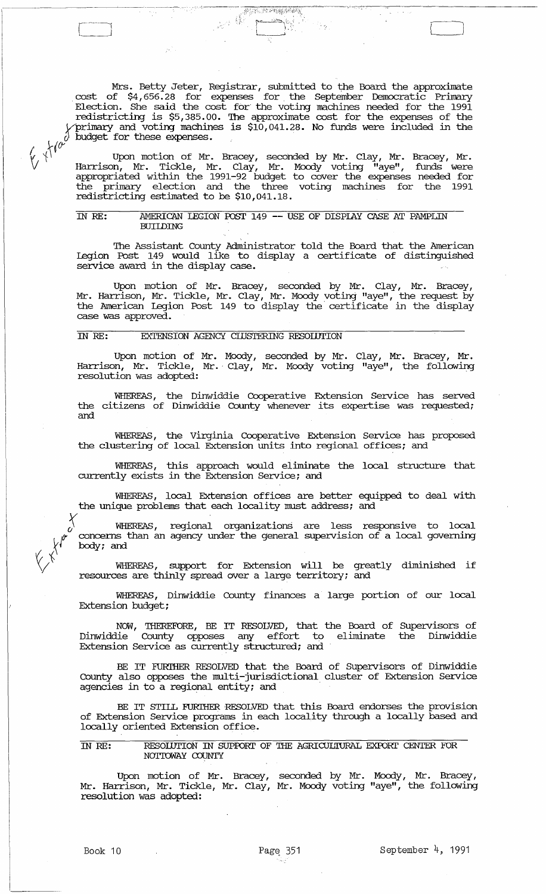Mrs. Betty Jeter, Registrar, submitted to the Board the approximate cost of \$4,656.28 for expenses for the September Democratic Primary Election. She said the cost for the voting machines needed for the 1991 redistricting is \$5,385.00. The approximate cost for the expenses of the *Vprima:ry* and voting machines is \$10,041.28. No funds were included in the  $\partial \overline{\partial}$  budget for these expenses.

~~:' ~ :::: ""~ -,'-. ..:.;~.;'(:~~~ ~!;:/~.~>:;~.

 $\mathcal{L}^{(1)}$  . ( ) we have a set of  $\mathcal{L}^{(1)}$  and  $\mathcal{L}^{(2)}$ 

 $\overline{a}$  $\Box$ 

 $\mathcal{U}_\mathcal{Y}$   $\setminus$   $\setminus$   $\setminus$   $\setminus$  Upon motion of Mr. Bracey, seconded by Mr. Clay, Mr. Bracey, Mr. V Harrison, Mr. Tickle, Mr. Clay, Mr. Moody voting "aye", funds were appropriated within the 1991-92 budget to cover the expenses needed for the primary election and the three voting machines for the 1991 redistricting estimated to be \$10,041.18.

#### IN RE: AMERICAN LEGION POST 149 -- USE OF DISPIAY CASE AT PAMPLIN **BUILDING**

The Assistant County Administrator told the Board that the American legion Post 149 would like to display a certificate of distinguished service award in the display case.

Upon motion of Mr. Bracey, seconded by Mr. Clay, Mr. Bracey, Mr. Harrison, Mr. Tickle, Mr. Clay, Mr. Moody voting "aye", the request by the American legion Post 149 to display the' certificate in the display case was approved.

## IN RE: EXTENSION AGENCY ClUSTERING RESOIDTION

Upon motion of Mr. Moody, seconded by Mr. Clay, Mr. Bracey, Mr . Harrison, Mr. Tickle, Mr.' Clay, Mr. Moody voting "aye", the following resolution was adopted:

WHEREAS, the Dinwiddie Cooperative Extension service has served the citizens of Dinwiddie County whenever its expertise was requested; and

WHEREAS, the Virginia Cooperative Extension service has proposed the clustering of local Extension units into regional offices; and

WHEREAS, this approach would eliminate the local structure that currently exists in the Extension service; and

WHEREAS, local Extension offices are better equipped to deal with the unique problems that each locality must address; and

WHEREAS, regional organizations are less responsive to local concerns than an agency under the general supervision of a local governing \ body; and

 $\bigvee^{\uparrow}$  WHEREAS, support for Extension will be greatly diminished if resources are thinly spread over a large territory; and

WHEREAS, Dinwiddie County finances a large portion of our local Extension budget;

NOW, THEREFORE, BE IT RESOLVED, that the Board of Supervisors of Dinwiddie County opposes. any effort to eliminate the Dinwiddie Extension Service as currently structured; and

BE IT FURTHER RESOLVED that the Board of Supervisors of Dinwiddie County also opposes the multi-jurisdictional cluster of Extension service agencies in to a regional entity; and

BE IT STILL FURTHER RESOLVED that this Board endorses the provision of Extension Service programs in each locality through a locally based and locally oriented Extension office.

## IN RE: RESOLUTION IN SUPPORT OF THE AGRICULTURAL EXPORT CENTER FOR NOI'IOWAY COUNTY

Upon motion of Mr. Bracey, seconded by Mr. Moody, Mr. Bracey, Mr. Harrison, Mr. Tickle, Mr. Clay, Mr. Moody voting "aye", the following resolution was adopted: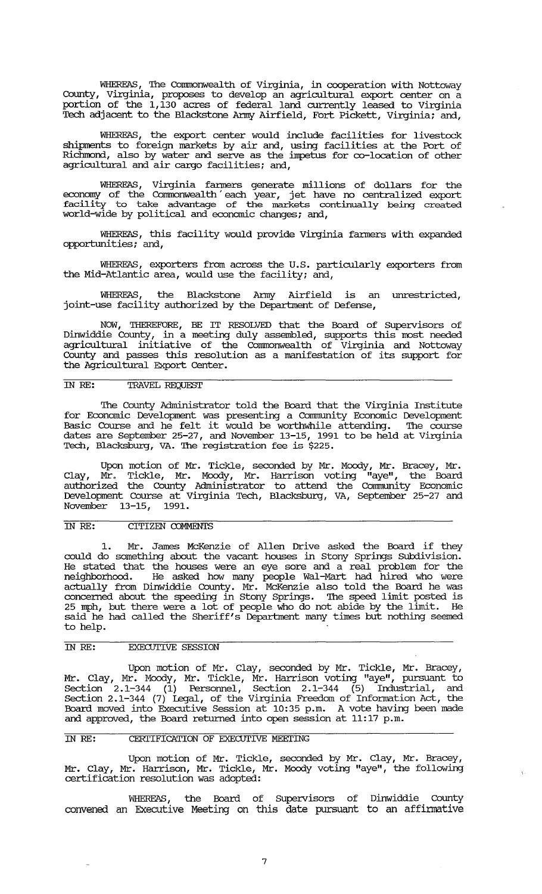WHEREAS, The Commonwealth of Virginia, in cooperation with Nottoway Cotmty, Virginia, proposes to develop an agricultural export center on a portion of the 1,130 acres of federal land currently leased to Virginia Tech adjacent to the Blackstone Anny Airfield, Fort Pickett, Virginia; and,

WHEREAS, the export center would include facilities for livestock shipments to foreign markets by air and, using facilities at the Port of Richmond, also by water and serve as the impetus for co-location of other agricultural and air cargo facilities; and,

WHEREAS, Virginia fanners generate millions of dollars for the economy of the Commonwealth' each year, jet have no centralized export facility to take advantage of the markets continually being created world-wide by political and economic changes; and,

WHEREAS, this facility would provide Virginia fanners with expanded opportunities; and,

WHEREAS, exporters from across the U. S. particularly exporters from the Mid-Atlantic area, would use the facility; and,

WHEREAS, the Blackstone Anny Airfield is an unrestricted, joint-use facility authorized by the Department of Defense,

NOW, THEREFORE, BE IT RESOLVED that the Board of Supervisors of Dinwiddie COtmty, in a meeting duly assembled, supports this most needed agricultural initiative of the Conunonwealth of Virginia and Nottoway County and passes this resolution as a manifestation of its support for the Agricultural Export Center.

## IN RE: TRAVEL REQUEST

The County Administrator told the Board that the Virginia Institute for Economic Development was presenting a conununity Economic Development Basic Course and he felt it would be worthwhile attending. The course dates are September 25-27, and November 13-15, 1991 to be held at Virginia Tech, Blacksburg, VA. The registration fee is \$225.

Upon motion of Mr. Tickle, seconded by Mr. Moody, Mr. Bracey, Mr. Clay, Mr. Tickle, Mr. Moody, Mr. Harrison voting "aye", the Board authorized the County Administrator to attend the Community Economic Development Course at Virginia Tech, Blacksburg, VA, September 25-27 and November 13-15, 1991.

#### IN RE: CITIZEN COMMENTS

1. Mr. James McKenzie of Allen Drive asked the Board if they could do something about the vacant houses in Stony Springs Subdivision. He stated that the houses were an eye sore and a real problem for the neighborhood. He asked how many people Wal-Mart had hired who were actually from Dinwiddie County. Mr. McKenzie also told the Board he was concerned about the speeding in Stony Springs. The speed limit posted is 25 mph, but there were a lot of people who do not abide by the limit. He said he had called the Sheriff's Department many times but nothing seemed to help.

## IN RE: EXECUTIVE SESSION

Upon motion of Mr. Clay, seconded by Mr. Tickle, Mr. Bracey, Mr. Clay, Mr. Moody, Mr. Tickle, Mr. Harrison voting "aye", pursuant to Section  $2.1-344$   $(1)$  Personnel, Section 2.1-344  $(5)$  Industrial, and Section 2.1-344 (7) legal, of the Virginia Freedom of Information Act, the Board moved into Executive Session at 10:35 p.m. A vote having been made and approved, the Board returned into open session at 11:17 p.m.

#### IN RE: CERTIFICATION OF EXECUTIVE MEETING

Upon motion of Mr. Tickle, seconded by Mr. Clay, Mr. Bracey, Mr. Clay, Mr. Harrison, Mr. Tickle, Mr. Moody voting "aye", the following certification resolution was adopted:

WHEREAS, the Board of Supervisors of Dinwiddie County convened. an Executive Meeting on this date pursuant to an affirmative